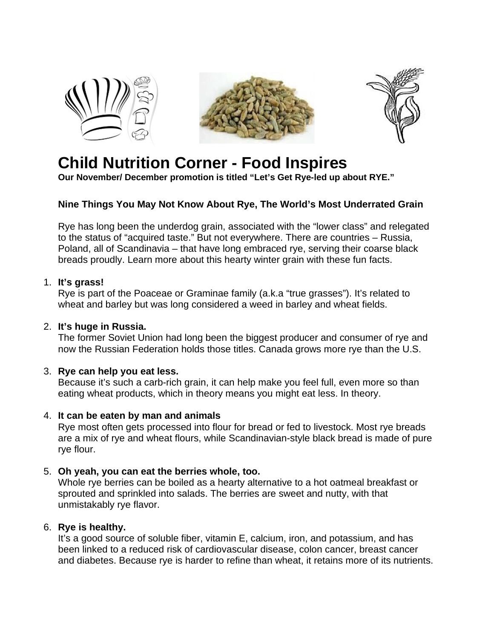





# **Child Nutrition Corner - Food Inspires**

**Our November/ December promotion is titled "Let's Get Rye-led up about RYE."**

## **Nine Things You May Not Know About Rye, The World's Most Underrated Grain**

Rye has long been the underdog grain, associated with the "lower class" and relegated to the status of "acquired taste." But not everywhere. There are countries – Russia, Poland, all of Scandinavia – that have long embraced rye, serving their coarse black breads proudly. Learn more about this hearty winter grain with these fun facts.

#### 1. **It's grass!**

Rye is part of the Poaceae or Graminae family (a.k.a "true grasses"). It's related to wheat and barley but was long considered a weed in barley and wheat fields.

## 2. **It's huge in Russia.**

The former Soviet Union had long been the biggest producer and consumer of rye and now the Russian Federation holds those titles. Canada grows more rye than the U.S.

## 3. **Rye can help you eat less.**

Because it's such a carb-rich grain, it can help make you feel full, even more so than eating wheat products, which in theory means you might eat less. In theory.

## 4. **It can be eaten by man and animals**

Rye most often gets processed into flour for bread or fed to livestock. Most rye breads are a mix of rye and wheat flours, while Scandinavian-style black bread is made of pure rye flour.

## 5. **Oh yeah, you can eat the berries whole, too.**

Whole rye berries can be boiled as a hearty alternative to a hot oatmeal breakfast or sprouted and sprinkled into salads. The berries are sweet and nutty, with that unmistakably rye flavor.

## 6. **Rye is healthy.**

It's a good source of soluble fiber, vitamin E, calcium, iron, and potassium, and has been linked to a reduced risk of cardiovascular disease, colon cancer, breast cancer and diabetes. Because rye is harder to refine than wheat, it retains more of its nutrients.